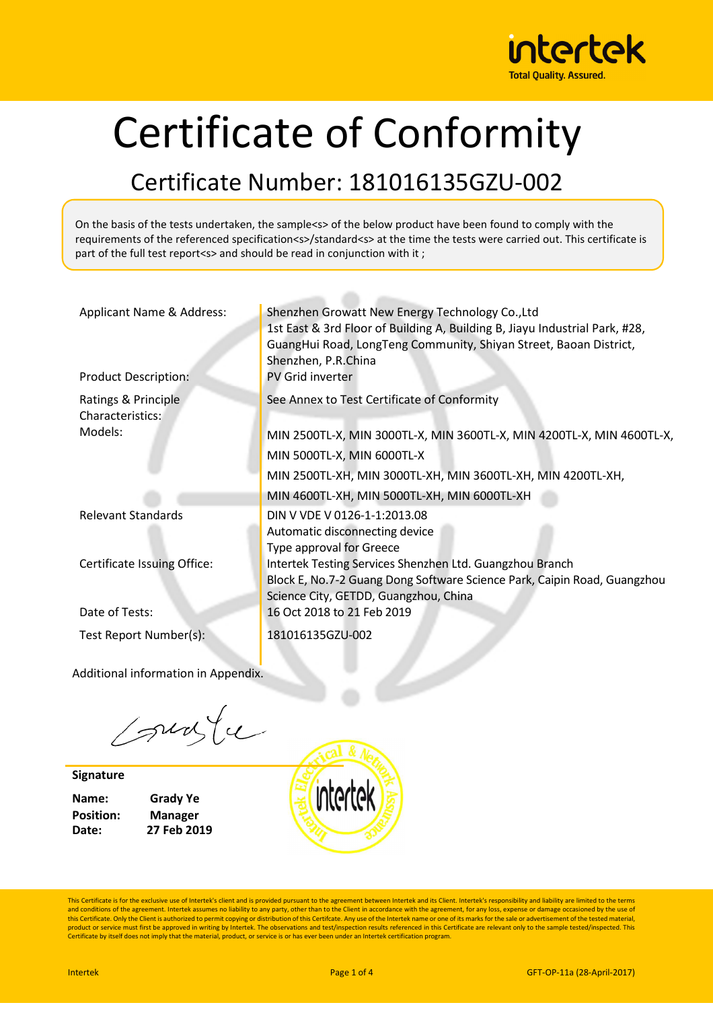

# Certificate of Conformity

### Certificate Number: 181016135GZU-002

On the basis of the tests undertaken, the sample<s> of the below product have been found to comply with the requirements of the referenced specification<s>/standard<s> at the time the tests were carried out. This certificate is part of the full test report<s> and should be read in conjunction with it ;

| Applicant Name & Address:<br><b>Product Description:</b> | Shenzhen Growatt New Energy Technology Co., Ltd<br>1st East & 3rd Floor of Building A, Building B, Jiayu Industrial Park, #28,<br>GuangHui Road, LongTeng Community, Shiyan Street, Baoan District,<br>Shenzhen, P.R.China<br><b>PV Grid inverter</b> |
|----------------------------------------------------------|-------------------------------------------------------------------------------------------------------------------------------------------------------------------------------------------------------------------------------------------------------|
| Ratings & Principle<br>Characteristics:                  | See Annex to Test Certificate of Conformity                                                                                                                                                                                                           |
| Models:                                                  | MIN 2500TL-X, MIN 3000TL-X, MIN 3600TL-X, MIN 4200TL-X, MIN 4600TL-X,                                                                                                                                                                                 |
|                                                          | MIN 5000TL-X, MIN 6000TL-X                                                                                                                                                                                                                            |
|                                                          | MIN 2500TL-XH, MIN 3000TL-XH, MIN 3600TL-XH, MIN 4200TL-XH,                                                                                                                                                                                           |
|                                                          | MIN 4600TL-XH, MIN 5000TL-XH, MIN 6000TL-XH                                                                                                                                                                                                           |
| <b>Relevant Standards</b>                                | DIN V VDE V 0126-1-1:2013.08<br>Automatic disconnecting device<br>Type approval for Greece                                                                                                                                                            |
| Certificate Issuing Office:                              | Intertek Testing Services Shenzhen Ltd. Guangzhou Branch<br>Block E, No.7-2 Guang Dong Software Science Park, Caipin Road, Guangzhou<br>Science City, GETDD, Guangzhou, China                                                                         |
| Date of Tests:                                           | 16 Oct 2018 to 21 Feb 2019                                                                                                                                                                                                                            |
| Test Report Number(s):                                   | 181016135GZU-002                                                                                                                                                                                                                                      |

Additional information in Appendix.

sunte

**Signature**

**Position: Manager**

**Name: Grady Ye Date: 27 Feb 2019**

intertek

This Certificate is for the exclusive use of Intertek's client and is provided pursuant to the agreement between Intertek and its Client. Intertek's responsibility and liability are limited to the terms and conditions of the agreement. Intertek assumes no liability to any party, other than to the Client in accordance with the agreement, for any loss, expense or damage occasioned by the use of<br>this Certificate. Only the Cl product or service must first be approved in writing by Intertek. The observations and test/inspection results referenced in this Certificate are relevant only to the sample tested/inspected. This<br>Certificate by itself doe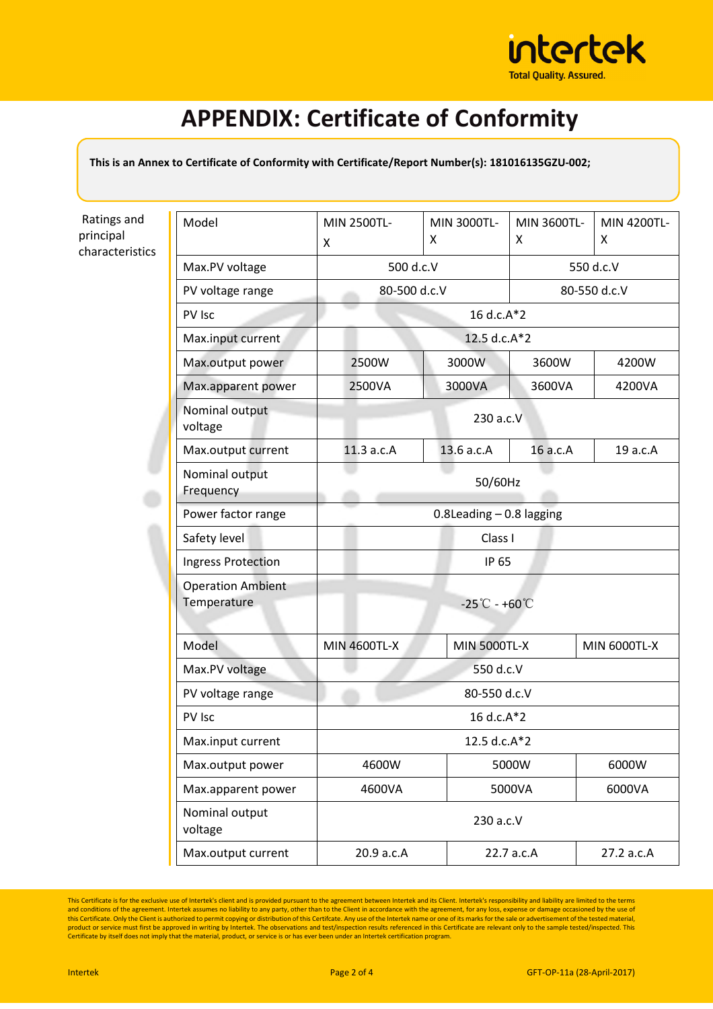

### **APPENDIX: Certificate of Conformity**

**This is an Annex to Certificate of Conformity with Certificate/Report Number(s): 181016135GZU-002;** 

Ratings and principal characteristics

| Model                       | MIN 2500TL-<br>X             | MIN 3000TL-<br>X                            | MIN 3600TL-<br>X | MIN 4200TL-<br>X    |  |
|-----------------------------|------------------------------|---------------------------------------------|------------------|---------------------|--|
| Max.PV voltage              |                              | 500 d.c.V                                   |                  | 550 d.c.V           |  |
| PV voltage range            |                              |                                             |                  |                     |  |
|                             | 80-500 d.c.V<br>80-550 d.c.V |                                             |                  |                     |  |
| PV Isc                      |                              | 16 d.c.A*2                                  |                  |                     |  |
| Max.input current           |                              | 12.5 d.c.A*2                                |                  |                     |  |
| Max.output power            | 2500W                        | 3000W                                       | 3600W            | 4200W               |  |
| Max.apparent power          | 2500VA                       | 3000VA                                      | 3600VA           | 4200VA              |  |
| Nominal output<br>voltage   | 230 a.c.V                    |                                             |                  |                     |  |
| Max.output current          | 11.3 a.c.A                   | 13.6 a.c.A                                  | 16 a.c.A         | 19 a.c.A            |  |
| Nominal output<br>Frequency | 50/60Hz                      |                                             |                  |                     |  |
| Power factor range          | $0.8$ Leading $-0.8$ lagging |                                             |                  |                     |  |
| Safety level                |                              | Class I                                     |                  |                     |  |
| <b>Ingress Protection</b>   | IP 65                        |                                             |                  |                     |  |
| <b>Operation Ambient</b>    |                              |                                             |                  |                     |  |
| Temperature                 |                              | $-25^{\circ}\text{C} - +60^{\circ}\text{C}$ |                  |                     |  |
|                             |                              |                                             |                  |                     |  |
| Model                       | <b>MIN 4600TL-X</b>          | <b>MIN 5000TL-X</b>                         |                  | <b>MIN 6000TL-X</b> |  |
| Max.PV voltage              | 550 d.c.V                    |                                             |                  |                     |  |
| PV voltage range            | 80-550 d.c.V                 |                                             |                  |                     |  |
| PV Isc                      | 16 d.c.A*2                   |                                             |                  |                     |  |
| Max.input current           | 12.5 d.c.A*2                 |                                             |                  |                     |  |
| Max.output power            | 4600W                        |                                             | 5000W            | 6000W               |  |
| Max.apparent power          | 4600VA                       |                                             | 5000VA           | 6000VA              |  |
| Nominal output<br>voltage   | 230 a.c.V                    |                                             |                  |                     |  |
| Max.output current          | 20.9 a.c.A                   |                                             | 22.7 a.c.A       | 27.2 a.c.A          |  |

This Certificate is for the exclusive use of Intertek's client and is provided pursuant to the agreement between Intertek and its Client. Intertek's responsibility and liability are limited to the terms<br>and conditions of t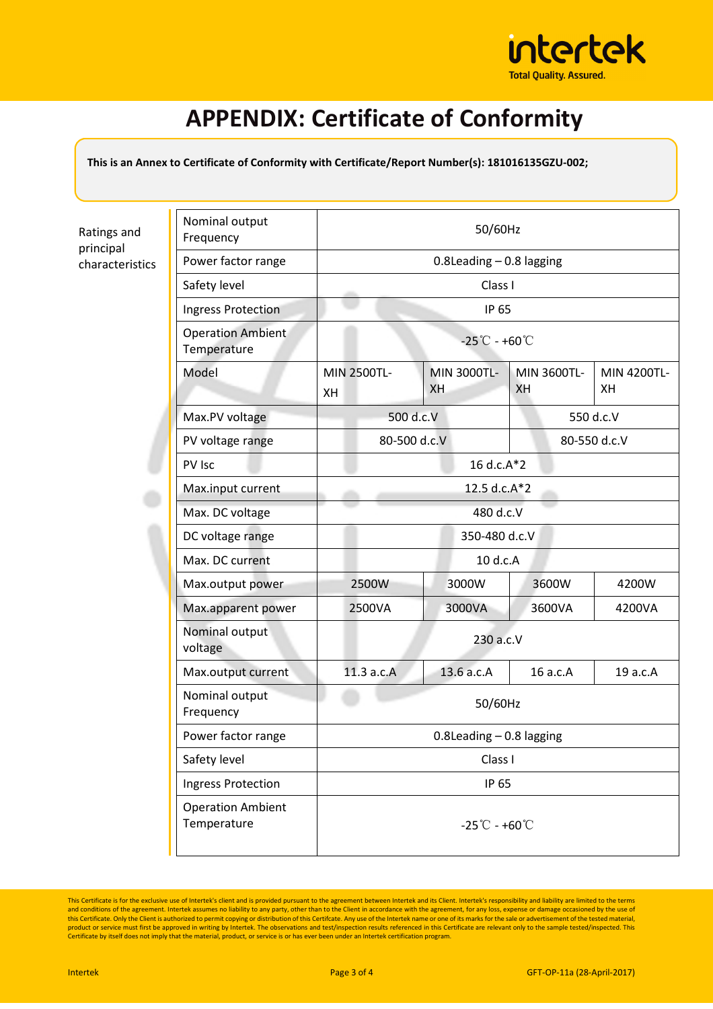

## **APPENDIX: Certificate of Conformity**

**This is an Annex to Certificate of Conformity with Certificate/Report Number(s): 181016135GZU-002;** 

Ratings and principal characteristics

| Nominal output<br>Frequency             | 50/60Hz                                     |                              |                   |                   |  |
|-----------------------------------------|---------------------------------------------|------------------------------|-------------------|-------------------|--|
| Power factor range                      |                                             | $0.8$ Leading $-0.8$ lagging |                   |                   |  |
| Safety level                            |                                             | Class I                      |                   |                   |  |
| Ingress Protection                      |                                             | IP 65                        |                   |                   |  |
| <b>Operation Ambient</b><br>Temperature | $-25^{\circ}\text{C} - +60^{\circ}\text{C}$ |                              |                   |                   |  |
| Model                                   | MIN 2500TL-<br>XH                           | MIN 3000TL-<br><b>XH</b>     | MIN 3600TL-<br>XH | MIN 4200TL-<br>XH |  |
| Max.PV voltage                          |                                             | 500 d.c.V                    |                   | 550 d.c.V         |  |
| PV voltage range                        |                                             | 80-500 d.c.V                 |                   | 80-550 d.c.V      |  |
| PV Isc                                  | 16 d.c.A*2                                  |                              |                   |                   |  |
| Max.input current                       | 12.5 d.c.A*2                                |                              |                   |                   |  |
| Max. DC voltage                         | 480 d.c.V                                   |                              |                   |                   |  |
| DC voltage range                        |                                             | 350-480 d.c.V                |                   |                   |  |
| Max. DC current                         | 10 d.c.A                                    |                              |                   |                   |  |
| Max.output power                        | 2500W                                       | 3000W                        | 3600W             | 4200W             |  |
| Max.apparent power                      | 2500VA                                      | 3000VA                       | 3600VA            | 4200VA            |  |
| Nominal output<br>voltage               | 230 a.c.V                                   |                              |                   |                   |  |
| Max.output current                      | 11.3 a.c.A                                  | 13.6 a.c.A                   | 16 a.c.A          | 19 a.c.A          |  |
| Nominal output<br>Frequency             | 50/60Hz                                     |                              |                   |                   |  |
| Power factor range                      | $0.8$ Leading $-0.8$ lagging                |                              |                   |                   |  |
| Safety level                            | Class I                                     |                              |                   |                   |  |
| Ingress Protection                      |                                             | IP 65                        |                   |                   |  |
| <b>Operation Ambient</b><br>Temperature | $-25^{\circ}\text{C} - +60^{\circ}\text{C}$ |                              |                   |                   |  |

This Certificate is for the exclusive use of Intertek's client and is provided pursuant to the agreement between Intertek and its Client. Intertek's responsibility and liability are limited to the terms<br>and conditions of t